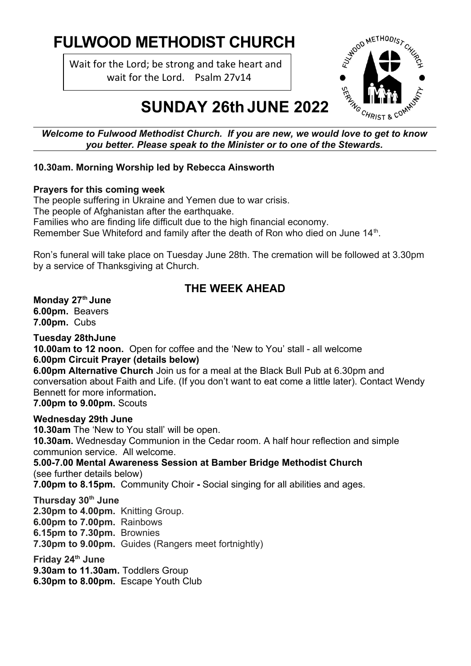# **FULWOOD METHODIST CHURCH**

Wait for the Lord; be strong and take heart and wait for the Lord. Psalm 27v14



# **SUNDAY 26th JUNE 2022**

*you better. Please speak to the Minister or to one of the Stewards.*

## **10.30am. Morning Worship led by Rebecca Ainsworth**

## **Prayers for this coming week**

The people suffering in Ukraine and Yemen due to war crisis. The people of Afghanistan after the earthquake. Families who are finding life difficult due to the high financial economy. Remember Sue Whiteford and family after the death of Ron who died on June 14<sup>th</sup>.

Ron's funeral will take place on Tuesday June 28th. The cremation will be followed at 3.30pm by a service of Thanksgiving at Church.

# **THE WEEK AHEAD**

## **Monday 27th June**

**6.00pm.** Beavers **7.00pm.** Cubs

## **Tuesday 28thJune**

**10.00am to 12 noon.** Open for coffee and the 'New to You' stall - all welcome **6.00pm Circuit Prayer (details below)**

**6.00pm Alternative Church** Join us for a meal at the Black Bull Pub at 6.30pm and conversation about Faith and Life. (If you don't want to eat come a little later). Contact Wendy Bennett for more information**.** 

**7.00pm to 9.00pm.** Scouts

## **Wednesday 29th June**

**10.30am** The 'New to You stall' will be open. **10.30am.** Wednesday Communion in the Cedar room. A half hour reflection and simple communion service. All welcome. **5.00-7.00 Mental Awareness Session at Bamber Bridge Methodist Church** (see further details below) **7.00pm to 8.15pm.** Community Choir **-** Social singing for all abilities and ages. **Thursday 30th June 2.30pm to 4.00pm.** Knitting Group. **6.00pm to 7.00pm.** Rainbows **6.15pm to 7.30pm.** Brownies **7.30pm to 9.00pm.** Guides (Rangers meet fortnightly) **Friday 24th June**

**9.30am to 11.30am.** Toddlers Group **6.30pm to 8.00pm.** Escape Youth Club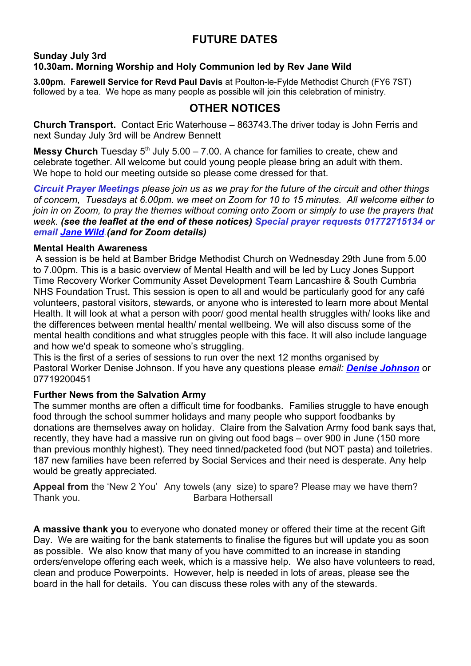# **FUTURE DATES**

#### **Sunday July 3rd 10.30am. Morning Worship and Holy Communion led by Rev Jane Wild**

**3.00pm. Farewell Service for Revd Paul Davis** at Poulton-le-Fylde Methodist Church (FY6 7ST) followed by a tea. We hope as many people as possible will join this celebration of ministry.

# **OTHER NOTICES**

**Church Transport.** Contact Eric Waterhouse – 863743.The driver today is John Ferris and next Sunday July 3rd will be Andrew Bennett

**Messy Church** Tuesday  $5<sup>th</sup>$  July  $5.00 - 7.00$ . A chance for families to create, chew and celebrate together. All welcome but could young people please bring an adult with them. We hope to hold our meeting outside so please come dressed for that.

*Circuit Prayer Meetings please join us as we pray for the future of the circuit and other things of concern, Tuesdays at 6.00pm. we meet on Zoom for 10 to 15 minutes. All welcome either to join in on Zoom, to pray the themes without coming onto Zoom or simply to use the prayers that week. (see the leaflet at the end of these notices) Special prayer requests 01772715134 or email [Jane Wild.](mailto:jane.wild@methodist.org.uk?subject=Prayer%20Request)(and for Zoom details)*

#### **Mental Health Awareness**

 A session is be held at Bamber Bridge Methodist Church on Wednesday 29th June from 5.00 to 7.00pm. This is a basic overview of Mental Health and will be led by Lucy Jones Support Time Recovery Worker Community Asset Development Team Lancashire & South Cumbria NHS Foundation Trust. This session is open to all and would be particularly good for any café volunteers, pastoral visitors, stewards, or anyone who is interested to learn more about Mental Health. It will look at what a person with poor/ good mental health struggles with/ looks like and the differences between mental health/ mental wellbeing. We will also discuss some of the mental health conditions and what struggles people with this face. It will also include language and how we'd speak to someone who's struggling.

This is the first of a series of sessions to run over the next 12 months organised by Pastoral Worker Denise Johnson. If you have any questions please *email: [Denise Johnson](mailto:djpastoral@outlook.com)* or 07719200451

#### **Further News from the Salvation Army**

The summer months are often a difficult time for foodbanks. Families struggle to have enough food through the school summer holidays and many people who support foodbanks by donations are themselves away on holiday. Claire from the Salvation Army food bank says that, recently, they have had a massive run on giving out food bags – over 900 in June (150 more than previous monthly highest). They need tinned/packeted food (but NOT pasta) and toiletries. 187 new families have been referred by Social Services and their need is desperate. Any help would be greatly appreciated.

**Appeal from** the 'New 2 You' Any towels (any size) to spare? Please may we have them? Thank you. **Barbara Hothersall** 

**A massive thank you** to everyone who donated money or offered their time at the recent Gift Day. We are waiting for the bank statements to finalise the figures but will update you as soon as possible. We also know that many of you have committed to an increase in standing orders/envelope offering each week, which is a massive help. We also have volunteers to read, clean and produce Powerpoints. However, help is needed in lots of areas, please see the board in the hall for details. You can discuss these roles with any of the stewards.